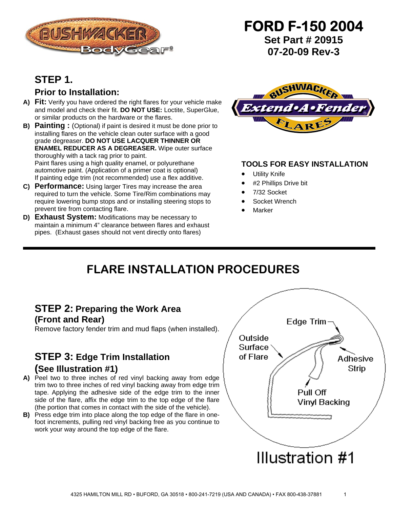

# **STEP 1.**

### **Prior to Installation:**

- **A) Fit:** Verify you have ordered the right flares for your vehicle make and model and check their fit. **DO NOT USE:** Loctite, SuperGlue, or similar products on the hardware or the flares.
- **B) Painting :** (Optional) if paint is desired it must be done prior to installing flares on the vehicle clean outer surface with a good grade degreaser. **DO NOT USE LACQUER THINNER OR ENAMEL REDUCER AS A DEGREASER.** Wipe outer surface thoroughly with a tack rag prior to paint. Paint flares using a high quality enamel, or polyurethane automotive paint. (Application of a primer coat is optional) If painting edge trim (not recommended) use a flex additive.
- **C) Performance:** Using larger Tires may increase the area required to turn the vehicle. Some Tire/Rim combinations may require lowering bump stops and or installing steering stops to prevent tire from contacting flare.
- **D) Exhaust System:** Modifications may be necessary to maintain a minimum 4" clearance between flares and exhaust pipes. (Exhaust gases should not vent directly onto flares)



**FORD F-150 2004** 

**Set Part # 20915 07-20-09 Rev-3**

#### **TOOLS FOR EASY INSTALLATION**

- **Utility Knife**
- #2 Phillips Drive bit
- 7/32 Socket
- Socket Wrench
- **Marker**

# **FLARE INSTALLATION PROCEDURES**

## **STEP 2: Preparing the Work Area (Front and Rear)**

Remove factory fender trim and mud flaps (when installed).

# **STEP 3: Edge Trim Installation**

### **(See Illustration #1)**

- **A)** Peel two to three inches of red vinyl backing away from edge trim two to three inches of red vinyl backing away from edge trim tape. Applying the adhesive side of the edge trim to the inner side of the flare, affix the edge trim to the top edge of the flare (the portion that comes in contact with the side of the vehicle).
- **B)** Press edge trim into place along the top edge of the flare in onefoot increments, pulling red vinyl backing free as you continue to work your way around the top edge of the flare.

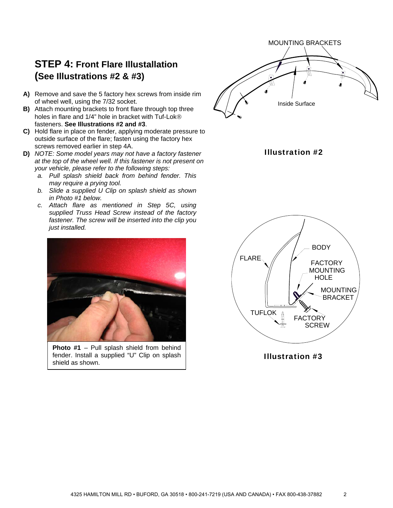## **STEP 4: Front Flare Illustallation (See Illustrations #2 & #3)**

- **A)** Remove and save the 5 factory hex screws from inside rim of wheel well, using the 7/32 socket.
- **B)** Attach mounting brackets to front flare through top three holes in flare and 1/4" hole in bracket with Tuf-Lok® fasteners. **See Illustrations #2 and #3**.
- **C)** Hold flare in place on fender, applying moderate pressure to outside surface of the flare; fasten using the factory hex screws removed earlier in step 4A.
- **D)** *NOTE: Some model years may not have a factory fastener at the top of the wheel well. If this fastener is not present on your vehicle, please refer to the following steps:*
	- *a. Pull splash shield back from behind fender. This may require a prying tool.*
	- *b. Slide a supplied U Clip on splash shield as shown in Photo #1 below.*
	- *c. Attach flare as mentioned in Step 5C, using supplied Truss Head Screw instead of the factory fastener. The screw will be inserted into the clip you just installed.*



**Photo #1** – Pull splash shield from behind fender. Install a supplied "U" Clip on splash shield as shown.



Illustration #2



Illustration #3